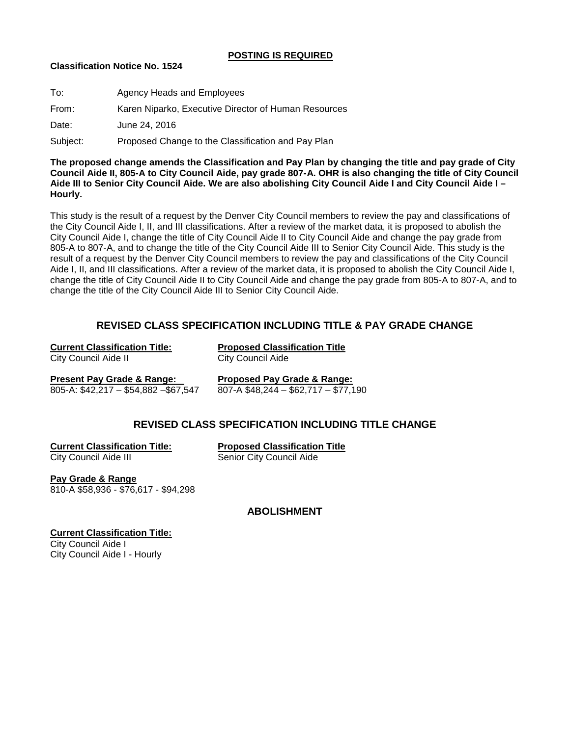### **POSTING IS REQUIRED**

## **Classification Notice No. 1524**

| To:      | Agency Heads and Employees                           |
|----------|------------------------------------------------------|
| From:    | Karen Niparko, Executive Director of Human Resources |
| Date:    | June 24, 2016                                        |
| Subject: | Proposed Change to the Classification and Pay Plan   |

**The proposed change amends the Classification and Pay Plan by changing the title and pay grade of City Council Aide II, 805-A to City Council Aide, pay grade 807-A. OHR is also changing the title of City Council Aide III to Senior City Council Aide. We are also abolishing City Council Aide I and City Council Aide I – Hourly.** 

This study is the result of a request by the Denver City Council members to review the pay and classifications of the City Council Aide I, II, and III classifications. After a review of the market data, it is proposed to abolish the City Council Aide I, change the title of City Council Aide II to City Council Aide and change the pay grade from 805-A to 807-A, and to change the title of the City Council Aide III to Senior City Council Aide. This study is the result of a request by the Denver City Council members to review the pay and classifications of the City Council Aide I, II, and III classifications. After a review of the market data, it is proposed to abolish the City Council Aide I, change the title of City Council Aide II to City Council Aide and change the pay grade from 805-A to 807-A, and to change the title of the City Council Aide III to Senior City Council Aide.

# **REVISED CLASS SPECIFICATION INCLUDING TITLE & PAY GRADE CHANGE**

| <b>Current Classification Title:</b> | <b>Proposed Classification Title</b> |
|--------------------------------------|--------------------------------------|
| City Council Aide II                 | City Council Aide                    |

805-A: \$42,217 – \$54,882 – \$67,547

**Present Pay Grade & Range: Proposed Pay Grade & Range:**

# **REVISED CLASS SPECIFICATION INCLUDING TITLE CHANGE**

**Current Classification Title:** Proposed Classification Title<br>City Council Aide III **Current Constant City Council Aide** Senior City Council Aide

**Pay Grade & Range** 810-A \$58,936 - \$76,617 - \$94,298

## **ABOLISHMENT**

#### **Current Classification Title:** City Council Aide I

City Council Aide I - Hourly